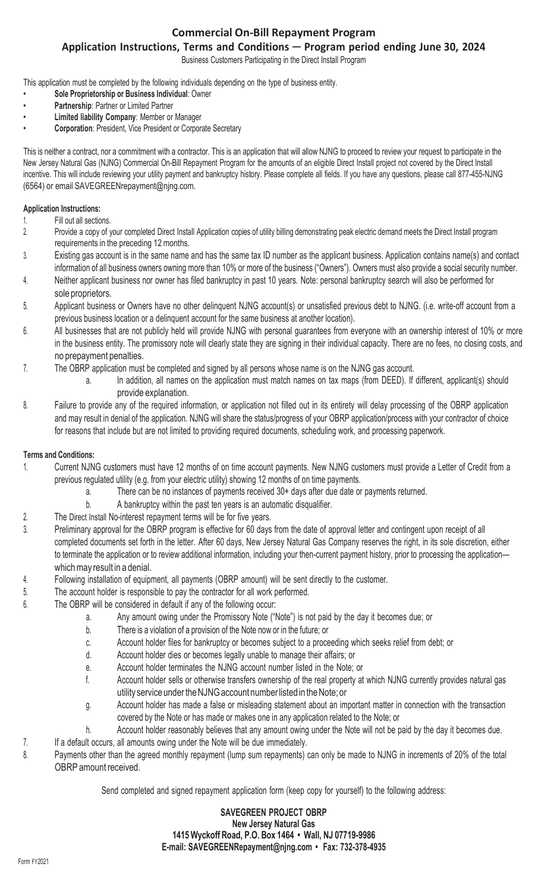### **Commercial On-Bill Repayment Program**

## **Application Instructions, Terms and Conditions** ─ **Program period ending June 30, 2024**

Business Customers Participating in the Direct Install Program

This application must be completed by the following individuals depending on the type of business entity.

- **Sole Proprietorship or Business Individual**: Owner
- **Partnership**: Partner or Limited Partner
- **Limited liability Company**: Member or Manager
- **Corporation**: President, Vice President or Corporate Secretary

This is neither a contract, nor a commitment with a contractor. This is an application that will allow NJNG to proceed to review your request to participate in the New Jersey Natural Gas (NJNG) Commercial On-Bill Repayment Program for the amounts of an eligible Direct Install project not covered by the Direct Install incentive. This will include reviewing your utility payment and bankruptcy history. Please complete all fields. If you have any questions, please call 877-455-NJNG (6564) or email [SAVEGREENrepayment@njng.com.](mailto:SAVEGREENrepayment@njng.com)

#### **Application Instructions:**

- 1. Fill out all sections.
- 2. Provide a copy of your completed Direct Install Application copies of utility billing demonstrating peak electric demand meets the Direct Install program requirements in the preceding 12 months.
- 3. Existing gas account is in the same name and has the same tax ID number as the applicant business. Application contains name(s) and contact information of all business owners owning more than 10% or more of the business ("Owners"). Owners must also provide a social security number.
- 4. Neither applicant business nor owner has filed bankruptcy in past 10 years. Note: personal bankruptcy search will also be performed for sole proprietors.
- 5. Applicant business or Owners have no other delinquent NJNG account(s) or unsatisfied previous debt to NJNG. (i.e. write-off account from a previous business location or a delinquent account for the same business at another location).
- 6. All businesses that are not publicly held will provide NJNG with personal guarantees from everyone with an ownership interest of 10% or more in the business entity. The promissory note will clearly state they are signing in their individual capacity. There are no fees, no closing costs, and no prepayment penalties.
- 7. The OBRP application must be completed and signed by all persons whose name is on the NJNG gas account.
	- a. In addition, all names on the application must match names on tax maps (from DEED). If different, applicant(s) should provide explanation.
- 8. Failure to provide any of the required information, or application not filled out in its entirety will delay processing of the OBRP application and may result in denial of the application. NJNG will share the status/progress of your OBRP application/process with your contractor of choice for reasons that include but are not limited to providing required documents, scheduling work, and processing paperwork.

#### **Terms and Conditions:**

- 1. Current NJNG customers must have 12 months of on time account payments. New NJNG customers must provide a Letter of Credit from a previous regulated utility (e.g. from your electric utility) showing 12 months of on time payments.
	- a. There can be no instances of payments received 30+ days after due date or payments returned.
	- b. A bankruptcy within the past ten years is an automatic disqualifier.
- 2. The Direct Install No-interest repayment terms will be for five years.
- 3. Preliminary approval for the OBRP program is effective for 60 days from the date of approval letter and contingent upon receipt of all completed documents set forth in the letter. After 60 days, New Jersey Natural Gas Company reserves the right, in its sole discretion, either to terminate the application or to review additional information, including your then-current payment history, prior to processing the application which may result in a denial.
- 4. Following installation of equipment, all payments (OBRP amount) will be sent directly to the customer.
- 5. The account holder is responsible to pay the contractor for all work performed.
- 6. The OBRP will be considered in default if any of the following occur:
	- a. Any amount owing under the Promissory Note ("Note") is not paid by the day it becomes due; or
	- b. There is a violation of a provision of the Note now or in the future; or
	- c. Account holder files for bankruptcy or becomes subject to a proceeding which seeks relief from debt; or
	- d. Account holder dies or becomes legally unable to manage their affairs; or
	- e. Account holder terminates the NJNG account number listed in the Note; or
	- f. Account holder sells or otherwise transfers ownership of the real property at which NJNG currently provides natural gas utility service under the NJNG account number listed in the Note; or
	- g. Account holder has made a false or misleading statement about an important matter in connection with the transaction covered by the Note or has made or makes one in any application related to the Note; or
	- h. Account holder reasonably believes that any amount owing under the Note will not be paid by the day it becomes due.
- 7. If a default occurs, all amounts owing under the Note will be due immediately.
- 8. Payments other than the agreed monthly repayment (lump sum repayments) can only be made to NJNG in increments of 20% of the total OBRP amount received.

Send completed and signed repayment application form (keep copy for yourself) to the following address:

#### **SAVEGREEN PROJECT OBRP New Jersey Natural Gas 1415 Wyckoff Road, P.O. Box 1464 • Wall, NJ 07719-9986 E-mail: [SAVEGREENRepayment@njng.com](mailto:SAVEGREENRepayment@njng.com) • Fax: 732-378-4935**